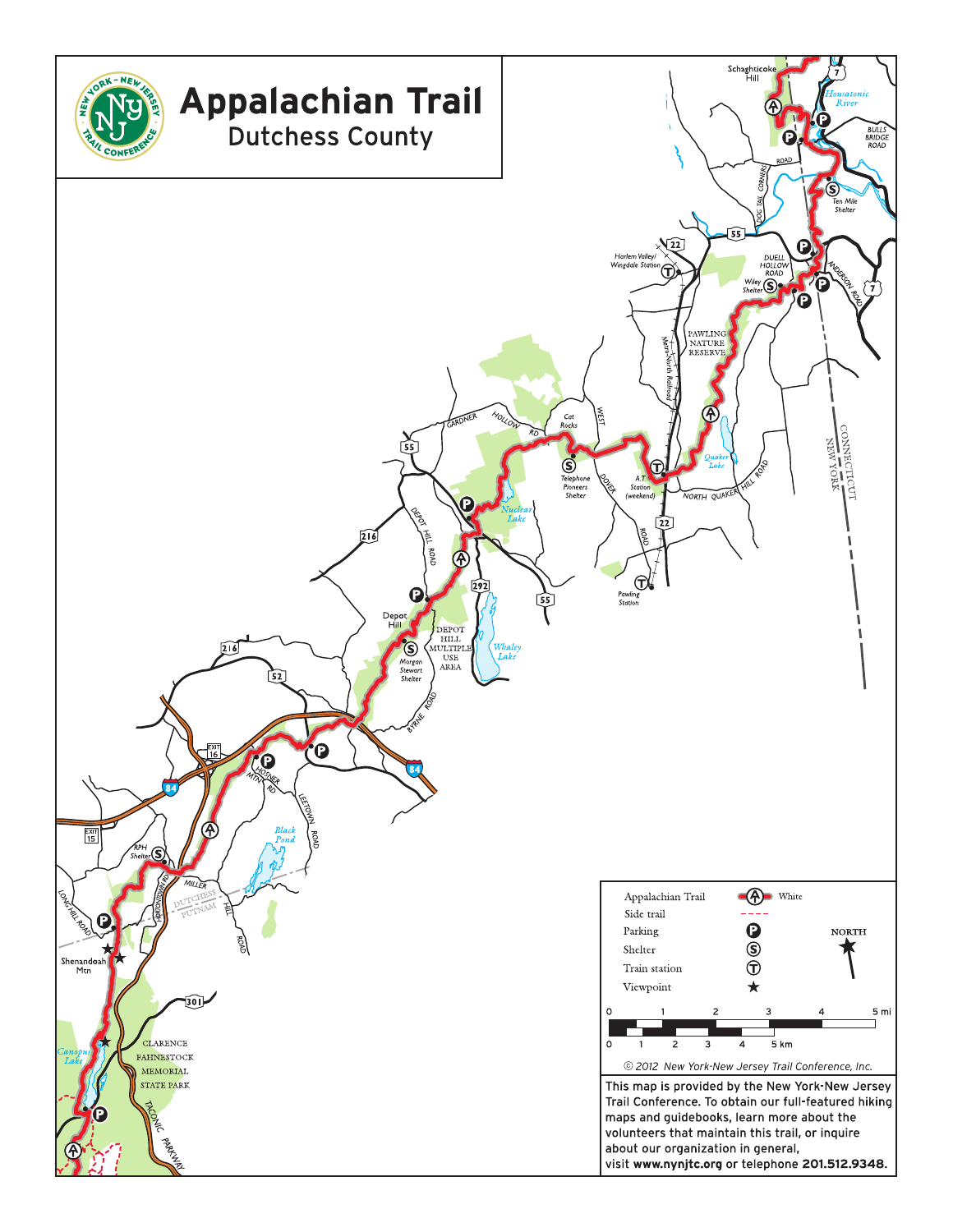